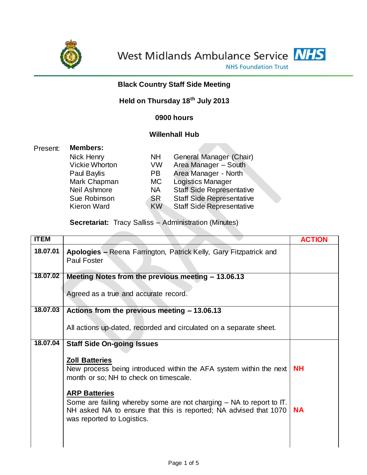

**Contract Contract** 



# **Black Country Staff Side Meeting**

# **Held on Thursday 18th July 2013**

# **0900 hours**

# **Willenhall Hub**

| Present: | <b>Members:</b>       |           |                                  |  |  |
|----------|-----------------------|-----------|----------------------------------|--|--|
|          | Nick Henry            | <b>NH</b> | General Manager (Chair)          |  |  |
|          | <b>Vickie Whorton</b> | VW        | Area Manager - South             |  |  |
|          | Paul Baylis           | PB.       | Area Manager - North             |  |  |
|          | Mark Chapman          | МC        | <b>Logistics Manager</b>         |  |  |
|          | Neil Ashmore          | <b>NA</b> | <b>Staff Side Representative</b> |  |  |
|          | Sue Robinson          | <b>SR</b> | <b>Staff Side Representative</b> |  |  |
|          | <b>Kieron Ward</b>    | <b>KW</b> | <b>Staff Side Representative</b> |  |  |
|          |                       |           |                                  |  |  |

**Secretariat:** Tracy Salliss – Administration (Minutes)

| <b>ITEM</b> |                                                                                                                                                                                                       | <b>ACTION</b> |
|-------------|-------------------------------------------------------------------------------------------------------------------------------------------------------------------------------------------------------|---------------|
| 18.07.01    | Apologies - Reena Farrington, Patrick Kelly, Gary Fitzpatrick and<br><b>Paul Foster</b>                                                                                                               |               |
| 18.07.02    | Meeting Notes from the previous meeting - 13.06.13                                                                                                                                                    |               |
|             | Agreed as a true and accurate record.                                                                                                                                                                 |               |
| 18.07.03    | Actions from the previous meeting - 13.06.13                                                                                                                                                          |               |
|             | All actions up-dated, recorded and circulated on a separate sheet.                                                                                                                                    |               |
| 18.07.04    | <b>Staff Side On-going Issues</b>                                                                                                                                                                     |               |
|             | <b>Zoll Batteries</b><br>New process being introduced within the AFA system within the next<br>month or so; NH to check on timescale.                                                                 | <b>NH</b>     |
|             | <b>ARP Batteries</b><br>Some are failing whereby some are not charging $-$ NA to report to $\Pi$ .<br>NH asked NA to ensure that this is reported; NA advised that 1070<br>was reported to Logistics. | <b>NA</b>     |
|             |                                                                                                                                                                                                       |               |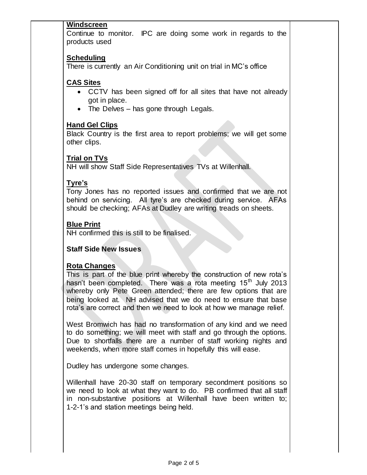#### **Windscreen**

Continue to monitor. IPC are doing some work in regards to the products used

#### **Scheduling**

There is currently an Air Conditioning unit on trial in MC's office

#### **CAS Sites**

- CCTV has been signed off for all sites that have not already got in place.
- The Delves has gone through Legals.

#### **Hand Gel Clips**

Black Country is the first area to report problems; we will get some other clips.

# **Trial on TVs**

NH will show Staff Side Representatives TVs at Willenhall.

# **Tyre's**

Tony Jones has no reported issues and confirmed that we are not behind on servicing. All tyre's are checked during service. AFAs should be checking; AFAs at Dudley are writing treads on sheets.

# **Blue Print**

NH confirmed this is still to be finalised.

#### **Staff Side New Issues**

#### **Rota Changes**

This is part of the blue print whereby the construction of new rota's hasn't been completed. There was a rota meeting 15<sup>th</sup> July 2013 whereby only Pete Green attended; there are few options that are being looked at. NH advised that we do need to ensure that base rota's are correct and then we need to look at how we manage relief.

West Bromwich has had no transformation of any kind and we need to do something; we will meet with staff and go through the options. Due to shortfalls there are a number of staff working nights and weekends, when more staff comes in hopefully this will ease.

Dudley has undergone some changes.

Willenhall have 20-30 staff on temporary secondment positions so we need to look at what they want to do. PB confirmed that all staff in non-substantive positions at Willenhall have been written to; 1-2-1's and station meetings being held.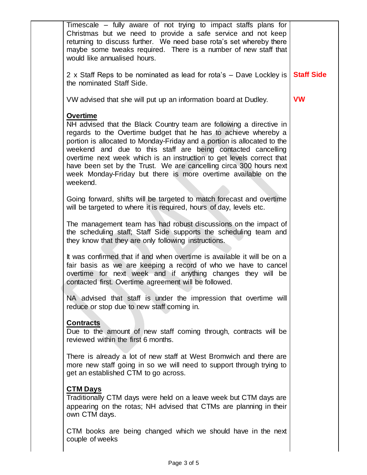| Timescale – fully aware of not trying to impact staffs plans for<br>Christmas but we need to provide a safe service and not keep<br>returning to discuss further. We need base rota's set whereby there<br>maybe some tweaks required. There is a number of new staff that<br>would like annualised hours.                                                                                                                                                                                                                        |                   |
|-----------------------------------------------------------------------------------------------------------------------------------------------------------------------------------------------------------------------------------------------------------------------------------------------------------------------------------------------------------------------------------------------------------------------------------------------------------------------------------------------------------------------------------|-------------------|
| 2 x Staff Reps to be nominated as lead for rota's – Dave Lockley is<br>the nominated Staff Side.                                                                                                                                                                                                                                                                                                                                                                                                                                  | <b>Staff Side</b> |
| VW advised that she will put up an information board at Dudley.                                                                                                                                                                                                                                                                                                                                                                                                                                                                   | <b>VW</b>         |
| <b>Overtime</b><br>NH advised that the Black Country team are following a directive in<br>regards to the Overtime budget that he has to achieve whereby a<br>portion is allocated to Monday-Friday and a portion is allocated to the<br>weekend and due to this staff are being contacted cancelling<br>overtime next week which is an instruction to get levels correct that<br>have been set by the Trust. We are cancelling circa 300 hours next<br>week Monday-Friday but there is more overtime available on the<br>weekend. |                   |
| Going forward, shifts will be targeted to match forecast and overtime<br>will be targeted to where it is required, hours of day, levels etc.                                                                                                                                                                                                                                                                                                                                                                                      |                   |
| The management team has had robust discussions on the impact of<br>the scheduling staff; Staff Side supports the scheduling team and<br>they know that they are only following instructions.                                                                                                                                                                                                                                                                                                                                      |                   |
| It was confirmed that if and when overtime is available it will be on a<br>fair basis as we are keeping a record of who we have to cancel<br>overtime for next week and if anything changes they will be<br>contacted first. Overtime agreement will be followed.                                                                                                                                                                                                                                                                 |                   |
| NA advised that staff is under the impression that overtime will<br>reduce or stop due to new staff coming in.                                                                                                                                                                                                                                                                                                                                                                                                                    |                   |
| <b>Contracts</b><br>Due to the amount of new staff coming through, contracts will be<br>reviewed within the first 6 months.                                                                                                                                                                                                                                                                                                                                                                                                       |                   |
| There is already a lot of new staff at West Bromwich and there are<br>more new staff going in so we will need to support through trying to<br>get an established CTM to go across.                                                                                                                                                                                                                                                                                                                                                |                   |
| <b>CTM Days</b><br>Traditionally CTM days were held on a leave week but CTM days are<br>appearing on the rotas; NH advised that CTMs are planning in their<br>own CTM days.                                                                                                                                                                                                                                                                                                                                                       |                   |
| CTM books are being changed which we should have in the next<br>couple of weeks                                                                                                                                                                                                                                                                                                                                                                                                                                                   |                   |
|                                                                                                                                                                                                                                                                                                                                                                                                                                                                                                                                   |                   |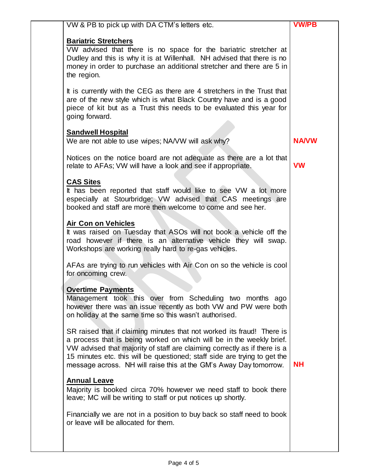| <b>Bariatric Stretchers</b><br>VW advised that there is no space for the bariatric stretcher at<br>Dudley and this is why it is at Willenhall. NH advised that there is no                                                                                                                                                                                                    |              |
|-------------------------------------------------------------------------------------------------------------------------------------------------------------------------------------------------------------------------------------------------------------------------------------------------------------------------------------------------------------------------------|--------------|
| money in order to purchase an additional stretcher and there are 5 in<br>the region.                                                                                                                                                                                                                                                                                          |              |
| It is currently with the CEG as there are 4 stretchers in the Trust that<br>are of the new style which is what Black Country have and is a good<br>piece of kit but as a Trust this needs to be evaluated this year for<br>going forward.                                                                                                                                     |              |
| <b>Sandwell Hospital</b><br>We are not able to use wipes; NA/VW will ask why?                                                                                                                                                                                                                                                                                                 | <b>NA/VW</b> |
| Notices on the notice board are not adequate as there are a lot that<br>relate to AFAs; VW will have a look and see if appropriate.                                                                                                                                                                                                                                           | <b>VW</b>    |
| <b>CAS Sites</b><br>It has been reported that staff would like to see VW a lot more<br>especially at Stourbridge; VW advised that CAS meetings are<br>booked and staff are more then welcome to come and see her.                                                                                                                                                             |              |
| <b>Air Con on Vehicles</b><br>It was raised on Tuesday that ASOs will not book a vehicle off the<br>road however if there is an alternative vehicle they will swap.<br>Workshops are working really hard to re-gas vehicles.                                                                                                                                                  |              |
| AFAs are trying to run vehicles with Air Con on so the vehicle is cool<br>for oncoming crew.                                                                                                                                                                                                                                                                                  |              |
| <b>Overtime Payments</b><br>Management took this over from Scheduling two months ago<br>however there was an issue recently as both VW and PW were both<br>on holiday at the same time so this wasn't authorised.                                                                                                                                                             |              |
| SR raised that if claiming minutes that not worked its fraud! There is<br>a process that is being worked on which will be in the weekly brief.<br>VW advised that majority of staff are claiming correctly as if there is a<br>15 minutes etc. this will be questioned; staff side are trying to get the<br>message across. NH will raise this at the GM's Away Day tomorrow. | NΗ           |
| <b>Annual Leave</b><br>Majority is booked circa 70% however we need staff to book there<br>leave; MC will be writing to staff or put notices up shortly.                                                                                                                                                                                                                      |              |
| Financially we are not in a position to buy back so staff need to book                                                                                                                                                                                                                                                                                                        |              |